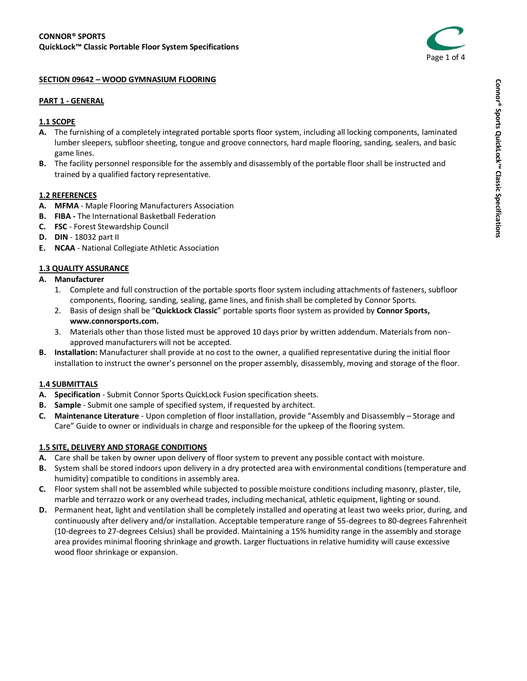

#### **SECTION 09642 – WOOD GYMNASIUM FLOORING**

#### **PART 1 - GENERAL**

### **1.1 SCOPE**

- **A.** The furnishing of a completely integrated portable sports floor system, including all locking components, laminated lumber sleepers, subfloor sheeting, tongue and groove connectors, hard maple flooring, sanding, sealers, and basic game lines.
- **B.** The facility personnel responsible for the assembly and disassembly of the portable floor shall be instructed and trained by a qualified factory representative.

### **1.2 REFERENCES**

- **A. MFMA** Maple Flooring Manufacturers Association
- **B. FIBA -** The International Basketball Federation
- **C. FSC** Forest Stewardship Council
- **D. DIN** 18032 part II
- **E. NCAA** National Collegiate Athletic Association

### **1.3 QUALITY ASSURANCE**

- **A. Manufacturer** 
	- 1. Complete and full construction of the portable sports floor system including attachments of fasteners, subfloor components, flooring, sanding, sealing, game lines, and finish shall be completed by Connor Sports.
	- 2. Basis of design shall be "**QuickLock Classic**" portable sports floor system as provided by **Connor Sports, www.connorsports.com.**
	- 3. Materials other than those listed must be approved 10 days prior by written addendum. Materials from nonapproved manufacturers will not be accepted.
- **B. Installation:** Manufacturer shall provide at no cost to the owner, a qualified representative during the initial floor installation to instruct the owner's personnel on the proper assembly, disassembly, moving and storage of the floor.

### **1.4 SUBMITTALS**

- **A. Specification**  Submit Connor Sports QuickLock Fusion specification sheets.
- **B. Sample**  Submit one sample of specified system, if requested by architect.
- **C. Maintenance Literature**  Upon completion of floor installation, provide "Assembly and Disassembly Storage and Care" Guide to owner or individuals in charge and responsible for the upkeep of the flooring system.

### **1.5 SITE, DELIVERY AND STORAGE CONDITIONS**

- **A.** Care shall be taken by owner upon delivery of floor system to prevent any possible contact with moisture.
- **B.** System shall be stored indoors upon delivery in a dry protected area with environmental conditions (temperature and humidity) compatible to conditions in assembly area.
- **C.** Floor system shall not be assembled while subjected to possible moisture conditions including masonry, plaster, tile, marble and terrazzo work or any overhead trades, including mechanical, athletic equipment, lighting or sound.
- **D.** Permanent heat, light and ventilation shall be completely installed and operating at least two weeks prior, during, and continuously after delivery and/or installation. Acceptable temperature range of 55-degrees to 80-degrees Fahrenheit (10-degrees to 27-degrees Celsius) shall be provided. Maintaining a 15% humidity range in the assembly and storage area provides minimal flooring shrinkage and growth. Larger fluctuations in relative humidity will cause excessive wood floor shrinkage or expansion.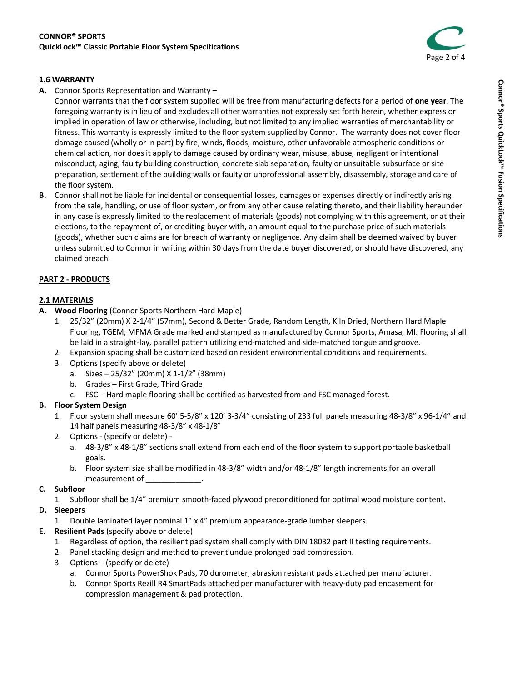

# **1.6 WARRANTY**

**A.** Connor Sports Representation and Warranty –

Connor warrants that the floor system supplied will be free from manufacturing defects for a period of **one year**. The foregoing warranty is in lieu of and excludes all other warranties not expressly set forth herein, whether express or implied in operation of law or otherwise, including, but not limited to any implied warranties of merchantability or fitness. This warranty is expressly limited to the floor system supplied by Connor. The warranty does not cover floor damage caused (wholly or in part) by fire, winds, floods, moisture, other unfavorable atmospheric conditions or chemical action, nor does it apply to damage caused by ordinary wear, misuse, abuse, negligent or intentional misconduct, aging, faulty building construction, concrete slab separation, faulty or unsuitable subsurface or site preparation, settlement of the building walls or faulty or unprofessional assembly, disassembly, storage and care of the floor system.

**B.** Connor shall not be liable for incidental or consequential losses, damages or expenses directly or indirectly arising from the sale, handling, or use of floor system, or from any other cause relating thereto, and their liability hereunder in any case is expressly limited to the replacement of materials (goods) not complying with this agreement, or at their elections, to the repayment of, or crediting buyer with, an amount equal to the purchase price of such materials (goods), whether such claims are for breach of warranty or negligence. Any claim shall be deemed waived by buyer unless submitted to Connor in writing within 30 days from the date buyer discovered, or should have discovered, any claimed breach.

# **PART 2 - PRODUCTS**

# **2.1 MATERIALS**

- **A. Wood Flooring** (Connor Sports Northern Hard Maple)
	- 1. 25/32" (20mm) X 2-1/4" (57mm), Second & Better Grade, Random Length, Kiln Dried, Northern Hard Maple Flooring, TGEM, MFMA Grade marked and stamped as manufactured by Connor Sports, Amasa, MI. Flooring shall be laid in a straight-lay, parallel pattern utilizing end-matched and side-matched tongue and groove.
	- 2. Expansion spacing shall be customized based on resident environmental conditions and requirements.
	- 3. Options (specify above or delete)
		- a. Sizes 25/32" (20mm) X 1-1/2" (38mm)
		- b. Grades First Grade, Third Grade
		- c. FSC Hard maple flooring shall be certified as harvested from and FSC managed forest.

# **B. Floor System Design**

- 1. Floor system shall measure 60' 5-5/8" x 120' 3-3/4" consisting of 233 full panels measuring 48-3/8" x 96-1/4" and 14 half panels measuring 48-3/8" x 48-1/8"
- 2. Options (specify or delete)
	- a. 48-3/8" x 48-1/8" sections shall extend from each end of the floor system to support portable basketball goals.
	- b. Floor system size shall be modified in 48-3/8" width and/or 48-1/8" length increments for an overall measurement of \_\_\_\_\_\_\_\_\_\_\_\_\_.

### **C. Subfloor**

1. Subfloor shall be 1/4" premium smooth-faced plywood preconditioned for optimal wood moisture content.

# **D. Sleepers**

- 1. Double laminated layer nominal 1" x 4" premium appearance-grade lumber sleepers.
- **E. Resilient Pads** (specify above or delete)
	- 1. Regardless of option, the resilient pad system shall comply with DIN 18032 part II testing requirements.
	- 2. Panel stacking design and method to prevent undue prolonged pad compression.
	- 3. Options (specify or delete)
		- a. Connor Sports PowerShok Pads, 70 durometer, abrasion resistant pads attached per manufacturer.
		- b. Connor Sports Rezill R4 SmartPads attached per manufacturer with heavy-duty pad encasement for compression management & pad protection.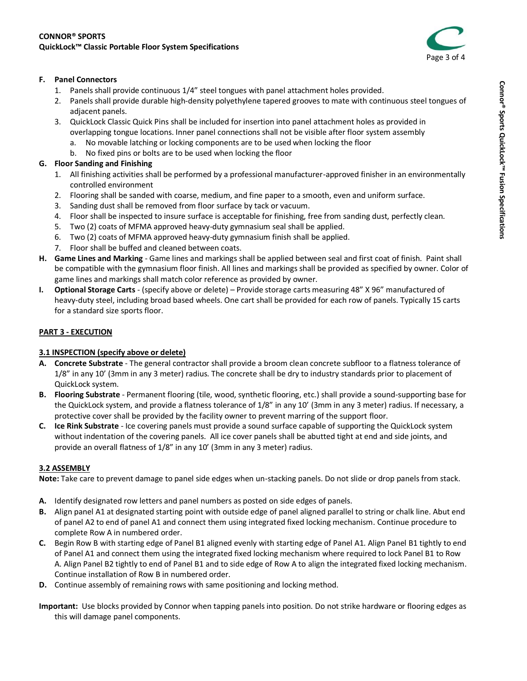

### **F. Panel Connectors**

- 1. Panels shall provide continuous 1/4" steel tongues with panel attachment holes provided.
- 2. Panels shall provide durable high-density polyethylene tapered grooves to mate with continuous steel tongues of adjacent panels.
- 3. QuickLock Classic Quick Pins shall be included for insertion into panel attachment holes as provided in overlapping tongue locations. Inner panel connections shall not be visible after floor system assembly
	- a. No movable latching or locking components are to be used when locking the floor
	- b. No fixed pins or bolts are to be used when locking the floor

# **G. Floor Sanding and Finishing**

- 1. All finishing activities shall be performed by a professional manufacturer-approved finisher in an environmentally controlled environment
- 2. Flooring shall be sanded with coarse, medium, and fine paper to a smooth, even and uniform surface.
- 3. Sanding dust shall be removed from floor surface by tack or vacuum.
- 4. Floor shall be inspected to insure surface is acceptable for finishing, free from sanding dust, perfectly clean.
- 5. Two (2) coats of MFMA approved heavy-duty gymnasium seal shall be applied.
- 6. Two (2) coats of MFMA approved heavy-duty gymnasium finish shall be applied.
- 7. Floor shall be buffed and cleaned between coats.
- **H. Game Lines and Marking**  Game lines and markings shall be applied between seal and first coat of finish. Paint shall be compatible with the gymnasium floor finish. All lines and markings shall be provided as specified by owner. Color of game lines and markings shall match color reference as provided by owner.
- **I. Optional Storage Carts**  (specify above or delete) Provide storage carts measuring 48" X 96" manufactured of heavy-duty steel, including broad based wheels. One cart shall be provided for each row of panels. Typically 15 carts for a standard size sports floor.

# **PART 3 - EXECUTION**

# **3.1 INSPECTION (specify above or delete)**

- **A. Concrete Substrate**  The general contractor shall provide a broom clean concrete subfloor to a flatness tolerance of 1/8" in any 10' (3mm in any 3 meter) radius. The concrete shall be dry to industry standards prior to placement of QuickLock system.
- **B. Flooring Substrate**  Permanent flooring (tile, wood, synthetic flooring, etc.) shall provide a sound-supporting base for the QuickLock system, and provide a flatness tolerance of 1/8" in any 10' (3mm in any 3 meter) radius. If necessary, a protective cover shall be provided by the facility owner to prevent marring of the support floor.
- **C. Ice Rink Substrate**  Ice covering panels must provide a sound surface capable of supporting the QuickLock system without indentation of the covering panels. All ice cover panels shall be abutted tight at end and side joints, and provide an overall flatness of 1/8" in any 10' (3mm in any 3 meter) radius.

### **3.2 ASSEMBLY**

**Note:** Take care to prevent damage to panel side edges when un-stacking panels. Do not slide or drop panels from stack.

- **A.** Identify designated row letters and panel numbers as posted on side edges of panels.
- **B.** Align panel A1 at designated starting point with outside edge of panel aligned parallel to string or chalk line. Abut end of panel A2 to end of panel A1 and connect them using integrated fixed locking mechanism. Continue procedure to complete Row A in numbered order.
- **C.** Begin Row B with starting edge of Panel B1 aligned evenly with starting edge of Panel A1. Align Panel B1 tightly to end of Panel A1 and connect them using the integrated fixed locking mechanism where required to lock Panel B1 to Row A. Align Panel B2 tightly to end of Panel B1 and to side edge of Row A to align the integrated fixed locking mechanism. Continue installation of Row B in numbered order.
- **D.** Continue assembly of remaining rows with same positioning and locking method.

**Important:** Use blocks provided by Connor when tapping panels into position. Do not strike hardware or flooring edges as this will damage panel components.